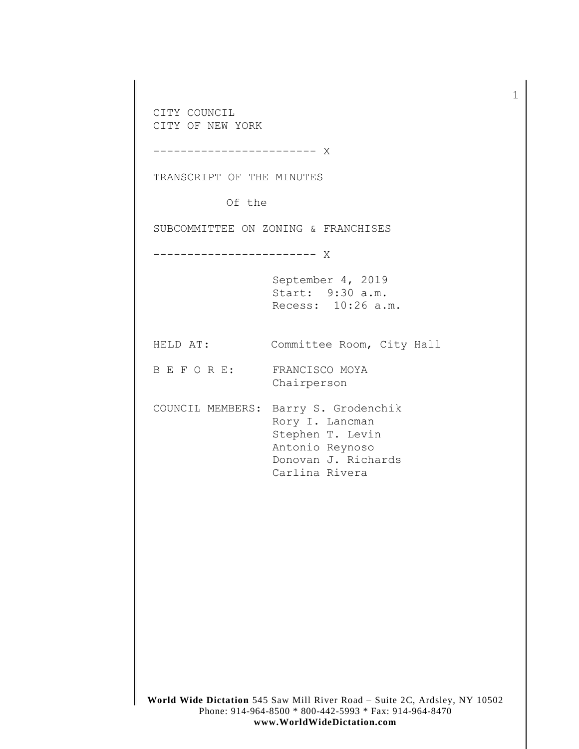CITY COUNCIL CITY OF NEW YORK ------------------------ X TRANSCRIPT OF THE MINUTES Of the SUBCOMMITTEE ON ZONING & FRANCHISES ------------------------ X September 4, 2019 Start: 9:30 a.m. Recess: 10:26 a.m. HELD AT: Committee Room, City Hall B E F O R E: FRANCISCO MOYA Chairperson COUNCIL MEMBERS: Barry S. Grodenchik Rory I. Lancman Stephen T. Levin Antonio Reynoso Donovan J. Richards Carlina Rivera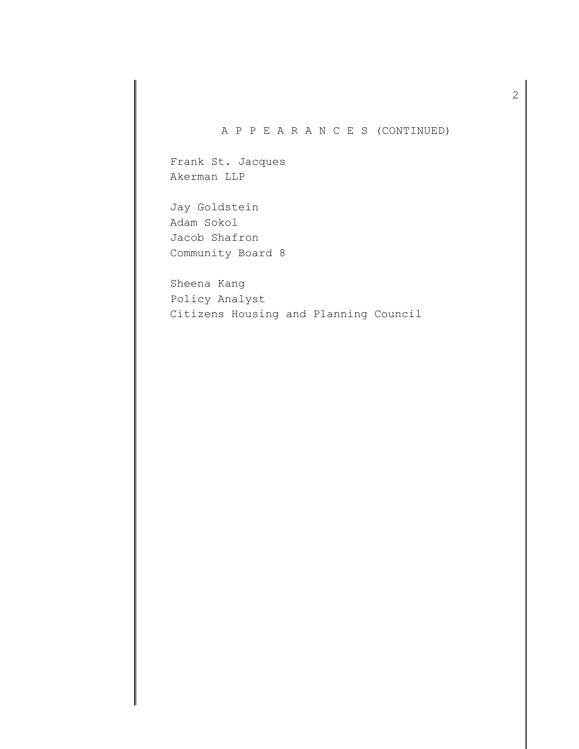## A P P E A R A N C E S (CONTINUED)

Frank St. Jacques Akerman LLP

Jay Goldstein Adam Sokol Jacob Shafron Community Board 8

Sheena Kang Policy Analyst Citizens Housing and Planning Council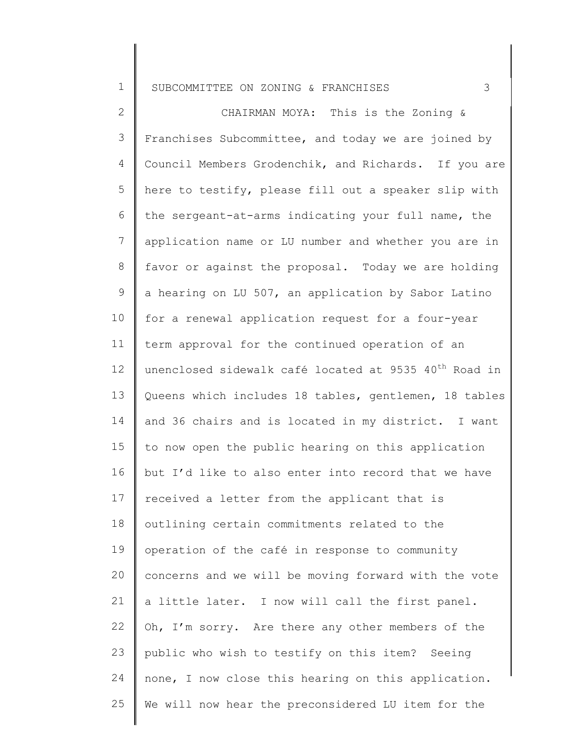1

2 3 4 5 6 7 8 9 10 11 12 13 14 15 16 17 18 19 20 21 22 23 24 25 Council Members Grodenchik, and Richards. If you are CHAIRMAN MOYA: This is the Zoning & Franchises Subcommittee, and today we are joined by here to testify, please fill out a speaker slip with the sergeant-at-arms indicating your full name, the application name or LU number and whether you are in favor or against the proposal. Today we are holding a hearing on LU 507, an application by Sabor Latino for a renewal application request for a four-year term approval for the continued operation of an unenclosed sidewalk café located at 9535 40<sup>th</sup> Road in Queens which includes 18 tables, gentlemen, 18 tables and 36 chairs and is located in my district. I want to now open the public hearing on this application but I'd like to also enter into record that we have received a letter from the applicant that is outlining certain commitments related to the operation of the café in response to community concerns and we will be moving forward with the vote a little later. I now will call the first panel. Oh, I'm sorry. Are there any other members of the public who wish to testify on this item? Seeing none, I now close this hearing on this application. We will now hear the preconsidered LU item for the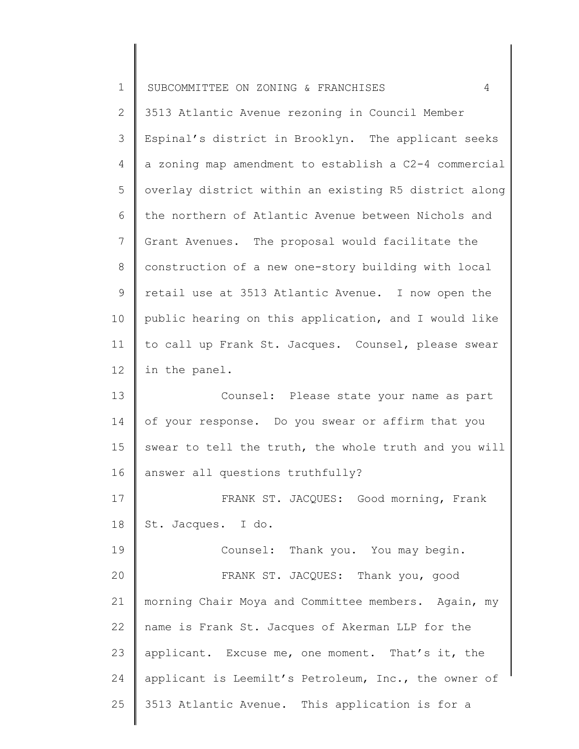| $\mathbf 1$ | SUBCOMMITTEE ON ZONING & FRANCHISES<br>4              |
|-------------|-------------------------------------------------------|
| 2           | 3513 Atlantic Avenue rezoning in Council Member       |
| 3           | Espinal's district in Brooklyn. The applicant seeks   |
| 4           | a zoning map amendment to establish a C2-4 commercial |
| 5           | overlay district within an existing R5 district along |
| 6           | the northern of Atlantic Avenue between Nichols and   |
| 7           | Grant Avenues. The proposal would facilitate the      |
| 8           | construction of a new one-story building with local   |
| $\mathsf 9$ | retail use at 3513 Atlantic Avenue. I now open the    |
| 10          | public hearing on this application, and I would like  |
| 11          | to call up Frank St. Jacques. Counsel, please swear   |
| 12          | in the panel.                                         |
| 13          | Counsel: Please state your name as part               |
| 14          | of your response. Do you swear or affirm that you     |
| 15          | swear to tell the truth, the whole truth and you will |
| 16          | answer all questions truthfully?                      |
| 17          | FRANK ST. JACQUES: Good morning, Frank                |
| 18          | St. Jacques. I do.                                    |
| 19          | Counsel: Thank you. You may begin.                    |
| 20          | FRANK ST. JACQUES: Thank you, good                    |
| 21          | morning Chair Moya and Committee members. Again, my   |
| 22          | name is Frank St. Jacques of Akerman LLP for the      |
| 23          | applicant. Excuse me, one moment. That's it, the      |
| 24          | applicant is Leemilt's Petroleum, Inc., the owner of  |
| 25          | 3513 Atlantic Avenue. This application is for a       |
|             |                                                       |

║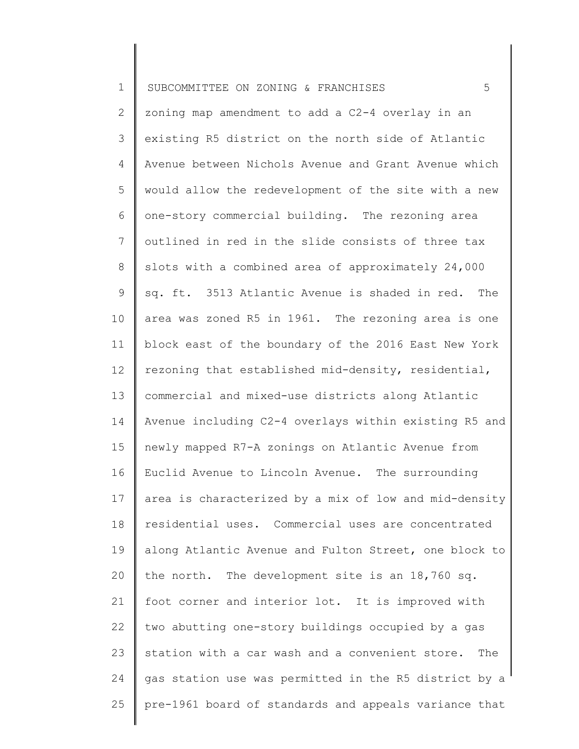2 3 4 5 6 7 8 9 10 11 12 13 14 15 16 17 18 19 20 21 22 23 24 25 zoning map amendment to add a C2-4 overlay in an existing R5 district on the north side of Atlantic Avenue between Nichols Avenue and Grant Avenue which would allow the redevelopment of the site with a new one-story commercial building. The rezoning area outlined in red in the slide consists of three tax slots with a combined area of approximately 24,000 sq. ft. 3513 Atlantic Avenue is shaded in red. The area was zoned R5 in 1961. The rezoning area is one block east of the boundary of the 2016 East New York rezoning that established mid-density, residential, commercial and mixed-use districts along Atlantic Avenue including C2-4 overlays within existing R5 and newly mapped R7-A zonings on Atlantic Avenue from Euclid Avenue to Lincoln Avenue. The surrounding area is characterized by a mix of low and mid-density residential uses. Commercial uses are concentrated along Atlantic Avenue and Fulton Street, one block to the north. The development site is an 18,760 sq. foot corner and interior lot. It is improved with two abutting one-story buildings occupied by a gas station with a car wash and a convenient store. The gas station use was permitted in the R5 district by a pre-1961 board of standards and appeals variance that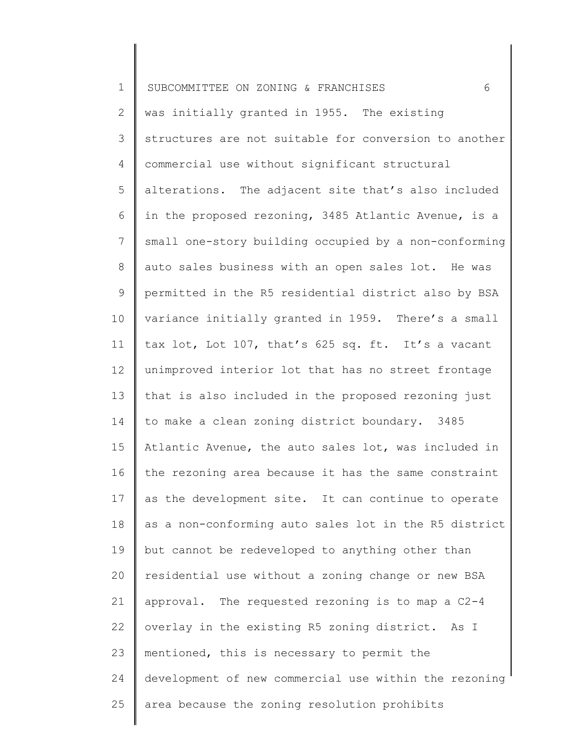| $\mathbf 1$     | 6<br>SUBCOMMITTEE ON ZONING & FRANCHISES              |
|-----------------|-------------------------------------------------------|
| 2               | was initially granted in 1955. The existing           |
| 3               | structures are not suitable for conversion to another |
| $\overline{4}$  | commercial use without significant structural         |
| 5               | alterations. The adjacent site that's also included   |
| 6               | in the proposed rezoning, 3485 Atlantic Avenue, is a  |
| $7\phantom{.0}$ | small one-story building occupied by a non-conforming |
| $8\,$           | auto sales business with an open sales lot. He was    |
| 9               | permitted in the R5 residential district also by BSA  |
| 10              | variance initially granted in 1959. There's a small   |
| 11              | tax lot, Lot 107, that's 625 sq. ft. It's a vacant    |
| 12              | unimproved interior lot that has no street frontage   |
| 13              | that is also included in the proposed rezoning just   |
| 14              | to make a clean zoning district boundary. 3485        |
| 15              | Atlantic Avenue, the auto sales lot, was included in  |
| 16              | the rezoning area because it has the same constraint  |
| 17              | as the development site. It can continue to operate   |
| 18              | as a non-conforming auto sales lot in the R5 district |
| 19              | but cannot be redeveloped to anything other than      |
| 20              | residential use without a zoning change or new BSA    |
| 21              | approval. The requested rezoning is to map a C2-4     |
| 22              | overlay in the existing R5 zoning district. As I      |
| 23              | mentioned, this is necessary to permit the            |
| 24              | development of new commercial use within the rezoning |
| 25              | area because the zoning resolution prohibits          |
|                 |                                                       |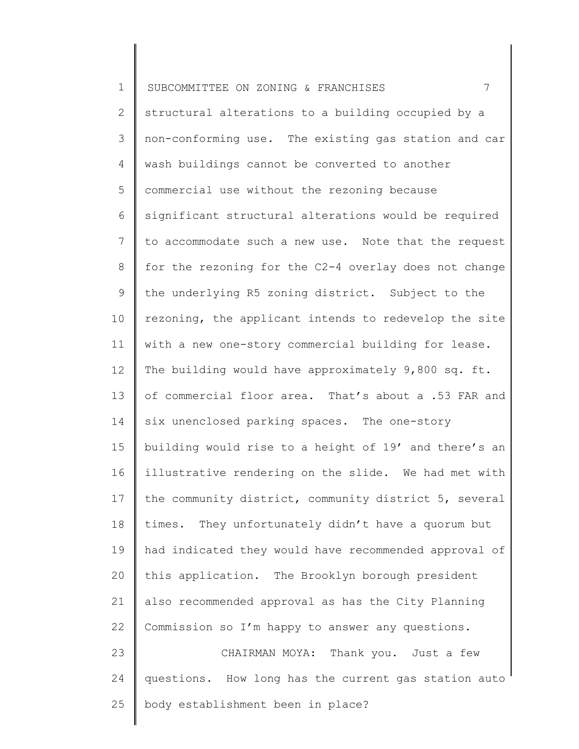| $\mathbf 1$    | $7\phantom{.0}$<br>SUBCOMMITTEE ON ZONING & FRANCHISES |
|----------------|--------------------------------------------------------|
| $\overline{2}$ | structural alterations to a building occupied by a     |
| 3              | non-conforming use. The existing gas station and car   |
| 4              | wash buildings cannot be converted to another          |
| 5              | commercial use without the rezoning because            |
| 6              | significant structural alterations would be required   |
| 7              | to accommodate such a new use. Note that the request   |
| 8              | for the rezoning for the C2-4 overlay does not change  |
| 9              | the underlying R5 zoning district. Subject to the      |
| 10             | rezoning, the applicant intends to redevelop the site  |
| 11             | with a new one-story commercial building for lease.    |
| 12             | The building would have approximately 9,800 sq. ft.    |
| 13             | of commercial floor area. That's about a .53 FAR and   |
| 14             | six unenclosed parking spaces. The one-story           |
| 15             | building would rise to a height of 19' and there's an  |
| 16             | illustrative rendering on the slide. We had met with   |
| 17             | the community district, community district 5, several  |
| 18             | times. They unfortunately didn't have a quorum but     |
| 19             | had indicated they would have recommended approval of  |
| 20             | this application. The Brooklyn borough president       |
| 21             | also recommended approval as has the City Planning     |
| 22             | Commission so I'm happy to answer any questions.       |
| 23             | CHAIRMAN MOYA: Thank you. Just a few                   |
| 24             | questions. How long has the current gas station auto   |
| 25             | body establishment been in place?                      |
|                |                                                        |

∥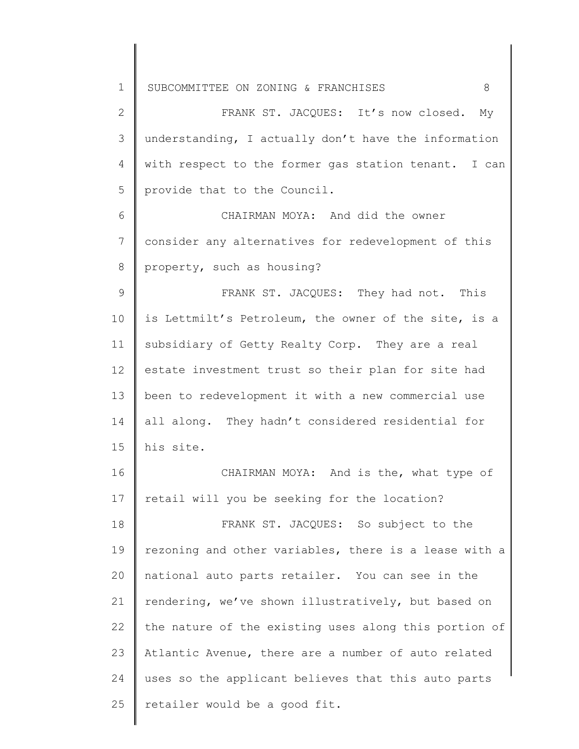2 3 4 5 FRANK ST. JACQUES: It's now closed. My understanding, I actually don't have the information with respect to the former gas station tenant. I can provide that to the Council.

6 7 8 CHAIRMAN MOYA: And did the owner consider any alternatives for redevelopment of this property, such as housing?

9 10 11 12 13 14 15 FRANK ST. JACQUES: They had not. This is Lettmilt's Petroleum, the owner of the site, is a subsidiary of Getty Realty Corp. They are a real estate investment trust so their plan for site had been to redevelopment it with a new commercial use all along. They hadn't considered residential for his site.

16 17 CHAIRMAN MOYA: And is the, what type of retail will you be seeking for the location?

18 19 20 21 22 23 24 25 FRANK ST. JACQUES: So subject to the rezoning and other variables, there is a lease with a national auto parts retailer. You can see in the rendering, we've shown illustratively, but based on the nature of the existing uses along this portion of Atlantic Avenue, there are a number of auto related uses so the applicant believes that this auto parts retailer would be a good fit.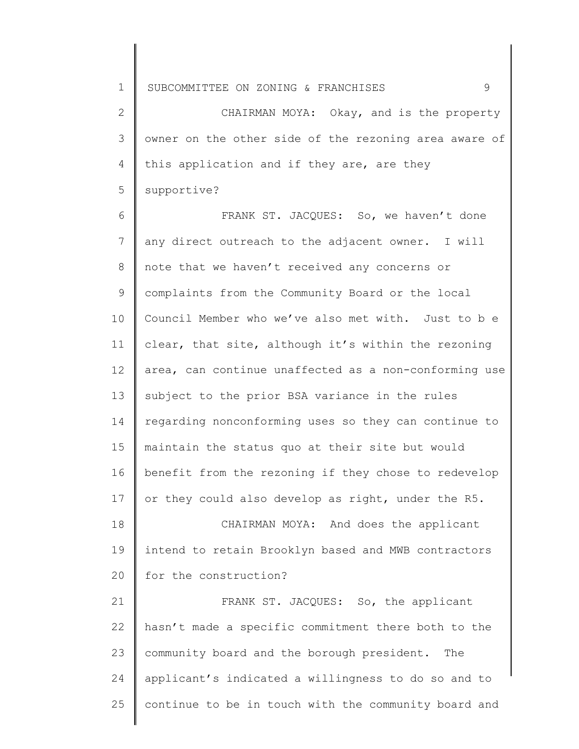2 3 4 5 CHAIRMAN MOYA: Okay, and is the property owner on the other side of the rezoning area aware of this application and if they are, are they supportive?

6 7 8 9 10 11 12 13 14 15 16 17 18 19 20 21 22 23 24 FRANK ST. JACQUES: So, we haven't done any direct outreach to the adjacent owner. I will note that we haven't received any concerns or complaints from the Community Board or the local Council Member who we've also met with. Just to b e clear, that site, although it's within the rezoning area, can continue unaffected as a non-conforming use subject to the prior BSA variance in the rules regarding nonconforming uses so they can continue to maintain the status quo at their site but would benefit from the rezoning if they chose to redevelop or they could also develop as right, under the R5. CHAIRMAN MOYA: And does the applicant intend to retain Brooklyn based and MWB contractors for the construction? FRANK ST. JACQUES: So, the applicant hasn't made a specific commitment there both to the community board and the borough president. The applicant's indicated a willingness to do so and to

continue to be in touch with the community board and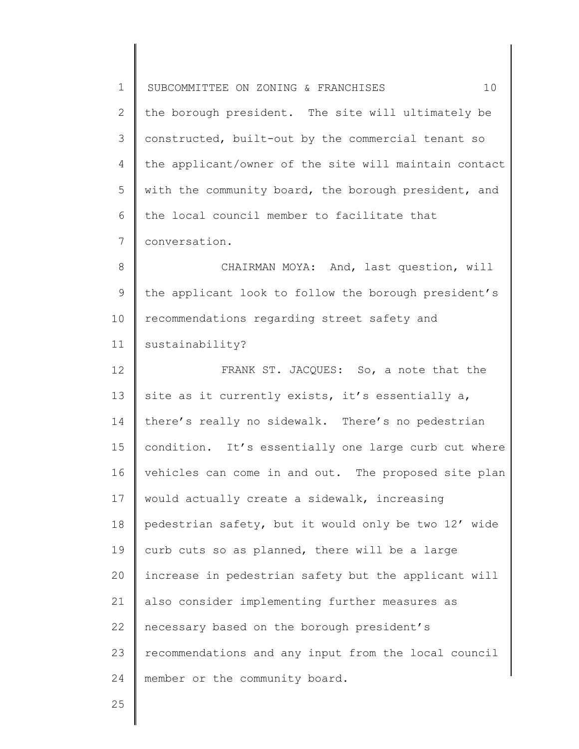1 2 3 4 5 6 7 8 9 10 11 12 13 14 15 16 17 18 19 20 21 22 23 24 SUBCOMMITTEE ON ZONING & FRANCHISES  $10$ the borough president. The site will ultimately be constructed, built-out by the commercial tenant so the applicant/owner of the site will maintain contact with the community board, the borough president, and the local council member to facilitate that conversation. CHAIRMAN MOYA: And, last question, will the applicant look to follow the borough president's recommendations regarding street safety and sustainability? FRANK ST. JACQUES: So, a note that the site as it currently exists, it's essentially a, there's really no sidewalk. There's no pedestrian condition. It's essentially one large curb cut where vehicles can come in and out. The proposed site plan would actually create a sidewalk, increasing pedestrian safety, but it would only be two 12' wide curb cuts so as planned, there will be a large increase in pedestrian safety but the applicant will also consider implementing further measures as necessary based on the borough president's recommendations and any input from the local council member or the community board.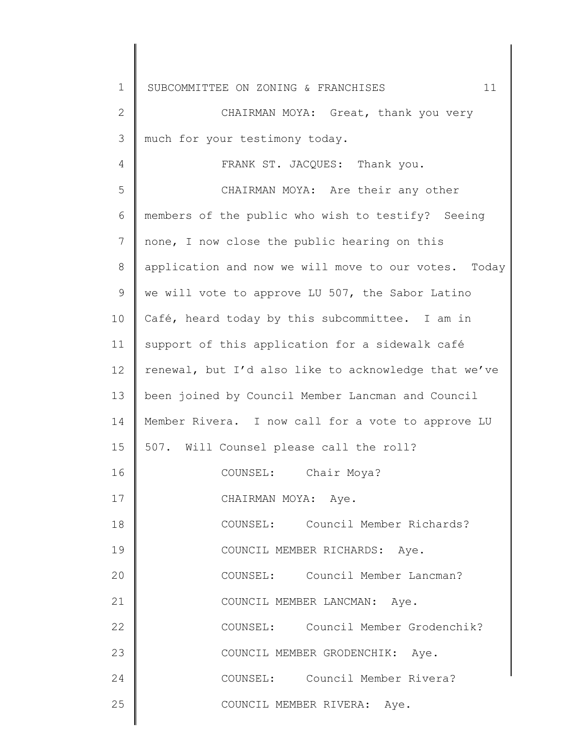| 1            | 11<br>SUBCOMMITTEE ON ZONING & FRANCHISES            |
|--------------|------------------------------------------------------|
| $\mathbf{2}$ | CHAIRMAN MOYA: Great, thank you very                 |
| 3            | much for your testimony today.                       |
| 4            | FRANK ST. JACQUES: Thank you.                        |
| 5            | CHAIRMAN MOYA: Are their any other                   |
| 6            | members of the public who wish to testify? Seeing    |
| 7            | none, I now close the public hearing on this         |
| 8            | application and now we will move to our votes. Today |
| 9            | we will vote to approve LU 507, the Sabor Latino     |
| 10           | Café, heard today by this subcommittee. I am in      |
| 11           | support of this application for a sidewalk café      |
| 12           | renewal, but I'd also like to acknowledge that we've |
| 13           | been joined by Council Member Lancman and Council    |
| 14           | Member Rivera. I now call for a vote to approve LU   |
| 15           | 507. Will Counsel please call the roll?              |
| 16           | COUNSEL: Chair Moya?                                 |
| 17           | CHAIRMAN MOYA: Aye.                                  |
| 18           | COUNSEL: Council Member Richards?                    |
| 19           | COUNCIL MEMBER RICHARDS: Aye.                        |
| 20           | COUNSEL: Council Member Lancman?                     |
| 21           | COUNCIL MEMBER LANCMAN: Aye.                         |
| 22           | COUNSEL: Council Member Grodenchik?                  |
| 23           | COUNCIL MEMBER GRODENCHIK: Aye.                      |
| 24           | COUNSEL: Council Member Rivera?                      |
| 25           | COUNCIL MEMBER RIVERA: Aye.                          |
|              |                                                      |

 $\begin{array}{c} \hline \end{array}$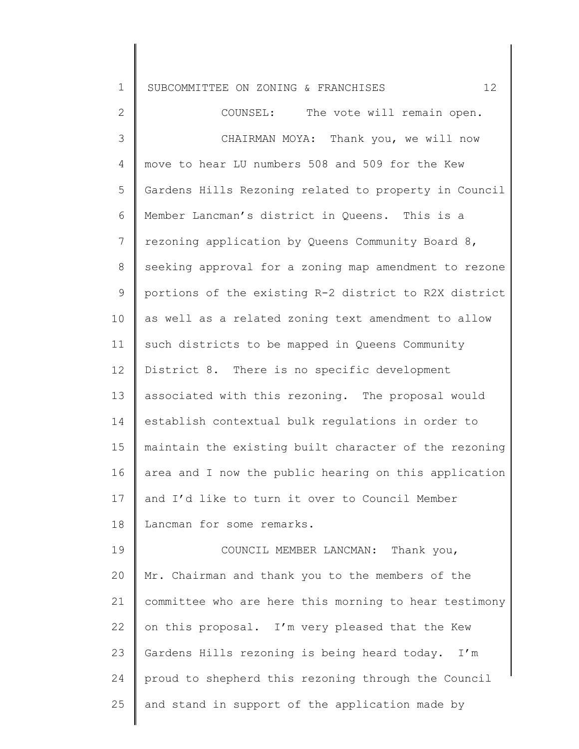|  | 1 SUBCOMMITTEE ON ZONING & FRANCHISES |  |  |  |  |  |
|--|---------------------------------------|--|--|--|--|--|
|--|---------------------------------------|--|--|--|--|--|

2 3 4 5 6 7 8 9 10 11 12 13 14 15 16 17 18 19 20 21 22 23 24 25 COUNSEL: The vote will remain open. CHAIRMAN MOYA: Thank you, we will now move to hear LU numbers 508 and 509 for the Kew Gardens Hills Rezoning related to property in Council Member Lancman's district in Queens. This is a rezoning application by Queens Community Board 8, seeking approval for a zoning map amendment to rezone portions of the existing R-2 district to R2X district as well as a related zoning text amendment to allow such districts to be mapped in Queens Community District 8. There is no specific development associated with this rezoning. The proposal would establish contextual bulk regulations in order to maintain the existing built character of the rezoning area and I now the public hearing on this application and I'd like to turn it over to Council Member Lancman for some remarks. COUNCIL MEMBER LANCMAN: Thank you, Mr. Chairman and thank you to the members of the committee who are here this morning to hear testimony on this proposal. I'm very pleased that the Kew Gardens Hills rezoning is being heard today. I'm proud to shepherd this rezoning through the Council and stand in support of the application made by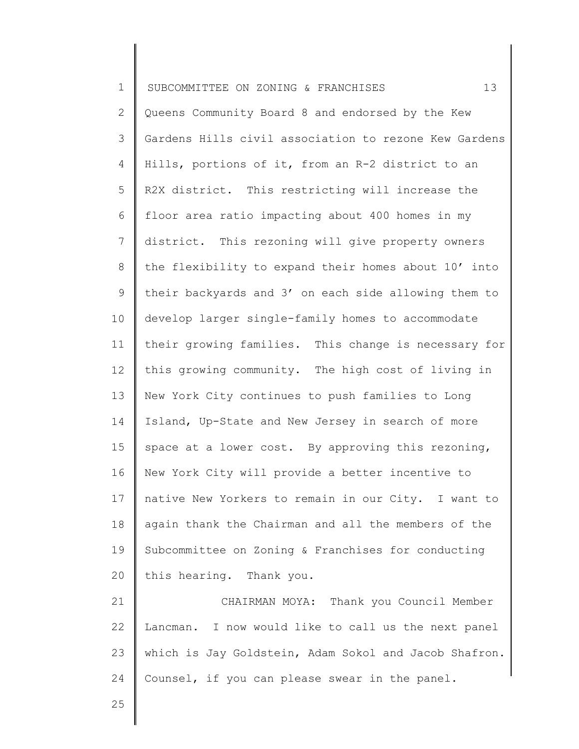| $\mathbf 1$     | 13<br>SUBCOMMITTEE ON ZONING & FRANCHISES             |
|-----------------|-------------------------------------------------------|
| $\overline{2}$  | Queens Community Board 8 and endorsed by the Kew      |
| 3               | Gardens Hills civil association to rezone Kew Gardens |
| $\overline{4}$  | Hills, portions of it, from an R-2 district to an     |
| 5               | R2X district. This restricting will increase the      |
| 6               | floor area ratio impacting about 400 homes in my      |
| $7\phantom{.}$  | district. This rezoning will give property owners     |
| 8               | the flexibility to expand their homes about 10' into  |
| 9               | their backyards and 3' on each side allowing them to  |
| 10              | develop larger single-family homes to accommodate     |
| 11              | their growing families. This change is necessary for  |
| 12              | this growing community. The high cost of living in    |
| 13              | New York City continues to push families to Long      |
| 14              | Island, Up-State and New Jersey in search of more     |
| 15 <sub>1</sub> | space at a lower cost. By approving this rezoning,    |
| 16              | New York City will provide a better incentive to      |
| 17              | native New Yorkers to remain in our City. I want to   |
| 18              | again thank the Chairman and all the members of the   |
| 19              | Subcommittee on Zoning & Franchises for conducting    |
| 20              | this hearing. Thank you.                              |
| 21              | CHAIRMAN MOYA: Thank you Council Member               |
| 22              | Lancman. I now would like to call us the next panel   |
| 23              | which is Jay Goldstein, Adam Sokol and Jacob Shafron. |
| 24              | Counsel, if you can please swear in the panel.        |
|                 |                                                       |

25

∥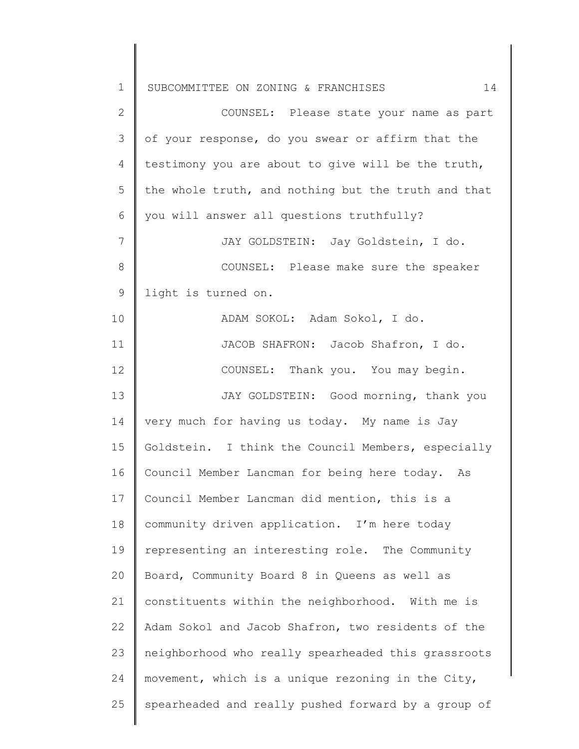1 2 3 4 5 6 7 8 9 10 11 12 13 14 15 16 17 18 19 20 21 22 23 24 25 SUBCOMMITTEE ON ZONING & FRANCHISES  $14$ COUNSEL: Please state your name as part of your response, do you swear or affirm that the testimony you are about to give will be the truth, the whole truth, and nothing but the truth and that you will answer all questions truthfully? JAY GOLDSTEIN: Jay Goldstein, I do. COUNSEL: Please make sure the speaker light is turned on. ADAM SOKOL: Adam Sokol, I do. JACOB SHAFRON: Jacob Shafron, I do. COUNSEL: Thank you. You may begin. JAY GOLDSTEIN: Good morning, thank you very much for having us today. My name is Jay Goldstein. I think the Council Members, especially Council Member Lancman for being here today. As Council Member Lancman did mention, this is a community driven application. I'm here today representing an interesting role. The Community Board, Community Board 8 in Queens as well as constituents within the neighborhood. With me is Adam Sokol and Jacob Shafron, two residents of the neighborhood who really spearheaded this grassroots movement, which is a unique rezoning in the City, spearheaded and really pushed forward by a group of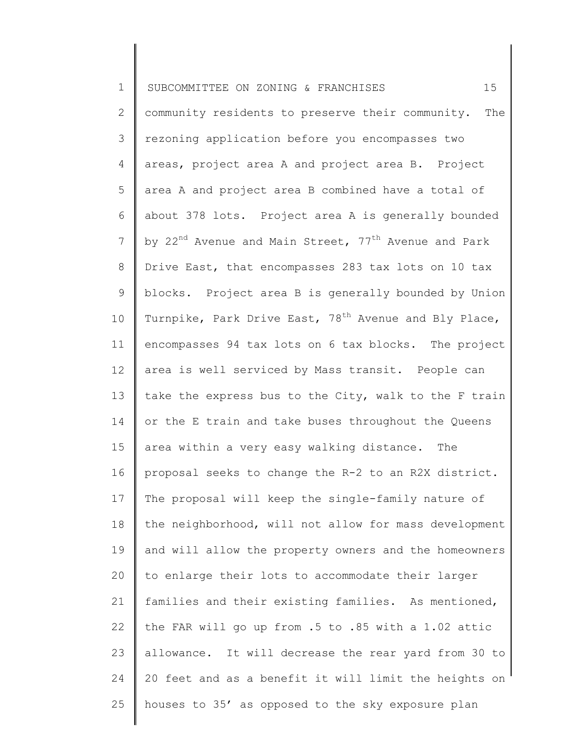| $\mathbf 1$    | 15<br>SUBCOMMITTEE ON ZONING & FRANCHISES                                    |
|----------------|------------------------------------------------------------------------------|
| $\overline{2}$ | community residents to preserve their community.<br>The                      |
| 3              | rezoning application before you encompasses two                              |
| 4              | areas, project area A and project area B. Project                            |
| 5              | area A and project area B combined have a total of                           |
| 6              | about 378 lots. Project area A is generally bounded                          |
| $\overline{7}$ | by 22 <sup>nd</sup> Avenue and Main Street, 77 <sup>th</sup> Avenue and Park |
| $8\,$          | Drive East, that encompasses 283 tax lots on 10 tax                          |
| 9              | blocks. Project area B is generally bounded by Union                         |
| 10             | Turnpike, Park Drive East, 78 <sup>th</sup> Avenue and Bly Place,            |
| 11             | encompasses 94 tax lots on 6 tax blocks. The project                         |
| 12             | area is well serviced by Mass transit. People can                            |
| 13             | take the express bus to the City, walk to the F train                        |
| 14             | or the E train and take buses throughout the Queens                          |
| 15             | area within a very easy walking distance. The                                |
| 16             | proposal seeks to change the R-2 to an R2X district.                         |
| 17             | The proposal will keep the single-family nature of                           |
| 18             | the neighborhood, will not allow for mass development                        |
| 19             | and will allow the property owners and the homeowners                        |
| 20             | to enlarge their lots to accommodate their larger                            |
| 21             | families and their existing families. As mentioned,                          |
| 22             | the FAR will go up from .5 to .85 with a 1.02 attic                          |
| 23             | allowance. It will decrease the rear yard from 30 to                         |
| 24             | 20 feet and as a benefit it will limit the heights on                        |
| 25             | houses to 35' as opposed to the sky exposure plan                            |

║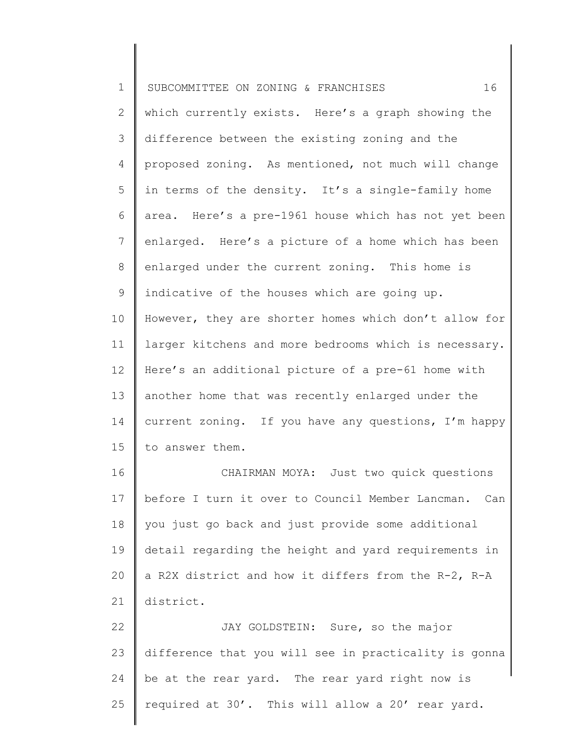| $\mathbf 1$    | 16<br>SUBCOMMITTEE ON ZONING & FRANCHISES             |
|----------------|-------------------------------------------------------|
| $\mathbf{2}$   | which currently exists. Here's a graph showing the    |
| $\mathcal{S}$  | difference between the existing zoning and the        |
| 4              | proposed zoning. As mentioned, not much will change   |
| 5              | in terms of the density. It's a single-family home    |
| 6              | area. Here's a pre-1961 house which has not yet been  |
| $\overline{7}$ | enlarged. Here's a picture of a home which has been   |
| 8              | enlarged under the current zoning. This home is       |
| 9              | indicative of the houses which are going up.          |
| 10             | However, they are shorter homes which don't allow for |
| 11             | larger kitchens and more bedrooms which is necessary. |
| 12             | Here's an additional picture of a pre-61 home with    |
| 13             | another home that was recently enlarged under the     |
| 14             | current zoning. If you have any questions, I'm happy  |
| 15             | to answer them.                                       |
| 16             | CHAIRMAN MOYA: Just two quick questions               |
| 17             | before I turn it over to Council Member Lancman. Can  |
| 18             | you just go back and just provide some additional     |
| 19             | detail regarding the height and yard requirements in  |
| 20             | a R2X district and how it differs from the R-2, R-A   |
| 21             | district.                                             |
| 22             | JAY GOLDSTEIN: Sure, so the major                     |
| 23             | difference that you will see in practicality is gonna |
| 24             | be at the rear yard. The rear yard right now is       |
| 25             | required at 30'. This will allow a 20' rear yard.     |
|                |                                                       |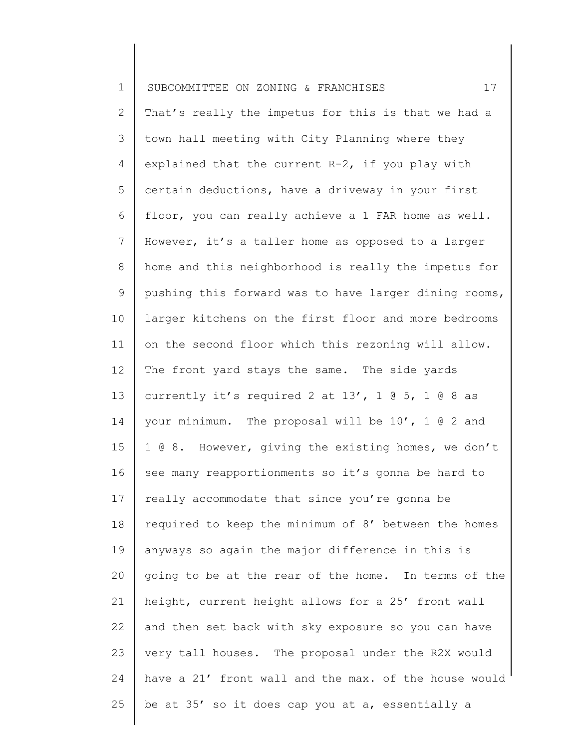| $\mathbf 1$    | 17<br>SUBCOMMITTEE ON ZONING & FRANCHISES             |
|----------------|-------------------------------------------------------|
| 2              | That's really the impetus for this is that we had a   |
| 3              | town hall meeting with City Planning where they       |
| $\overline{4}$ | explained that the current R-2, if you play with      |
| 5              | certain deductions, have a driveway in your first     |
| 6              | floor, you can really achieve a 1 FAR home as well.   |
| $7\phantom{.}$ | However, it's a taller home as opposed to a larger    |
| $8\,$          | home and this neighborhood is really the impetus for  |
| 9              | pushing this forward was to have larger dining rooms, |
| 10             | larger kitchens on the first floor and more bedrooms  |
| 11             | on the second floor which this rezoning will allow.   |
| 12             | The front yard stays the same. The side yards         |
| 13             | currently it's required 2 at $13'$ , 1 @ 5, 1 @ 8 as  |
| 14             | your minimum. The proposal will be 10', 1 @ 2 and     |
| 15             | 1 @ 8. However, giving the existing homes, we don't   |
| 16             | see many reapportionments so it's gonna be hard to    |
| 17             | really accommodate that since you're gonna be         |
| 18             | required to keep the minimum of 8' between the homes  |
| 19             | anyways so again the major difference in this is      |
| 20             | going to be at the rear of the home. In terms of the  |
| 21             | height, current height allows for a 25' front wall    |
| 22             | and then set back with sky exposure so you can have   |
| 23             | very tall houses. The proposal under the R2X would    |
| 24             | have a 21' front wall and the max. of the house would |
| 25             | be at 35' so it does cap you at a, essentially a      |
|                |                                                       |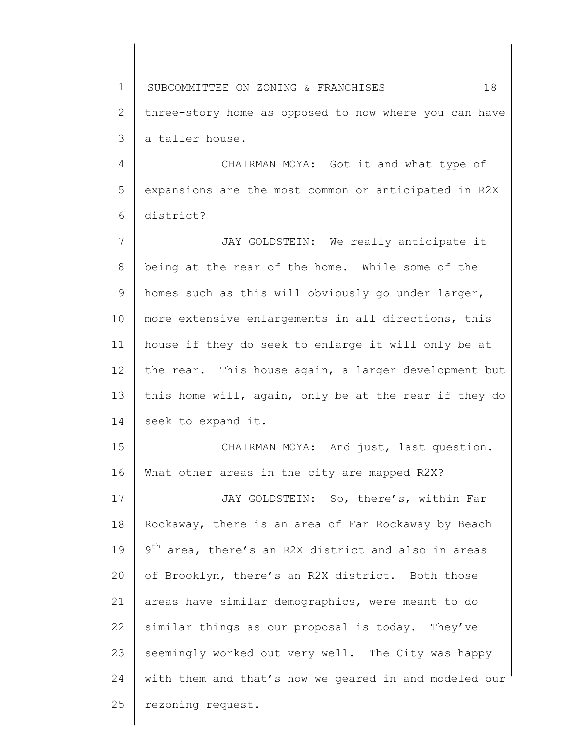1 2 3 SUBCOMMITTEE ON ZONING & FRANCHISES 18 three-story home as opposed to now where you can have a taller house.

4 5 6 CHAIRMAN MOYA: Got it and what type of expansions are the most common or anticipated in R2X district?

7 8 9 10 11 12 13 14 JAY GOLDSTEIN: We really anticipate it being at the rear of the home. While some of the homes such as this will obviously go under larger, more extensive enlargements in all directions, this house if they do seek to enlarge it will only be at the rear. This house again, a larger development but this home will, again, only be at the rear if they do seek to expand it.

15 16 CHAIRMAN MOYA: And just, last question. What other areas in the city are mapped R2X?

17 18 19 20 21 22 23 24 25 JAY GOLDSTEIN: So, there's, within Far Rockaway, there is an area of Far Rockaway by Beach 9<sup>th</sup> area, there's an R2X district and also in areas of Brooklyn, there's an R2X district. Both those areas have similar demographics, were meant to do similar things as our proposal is today. They've seemingly worked out very well. The City was happy with them and that's how we geared in and modeled our rezoning request.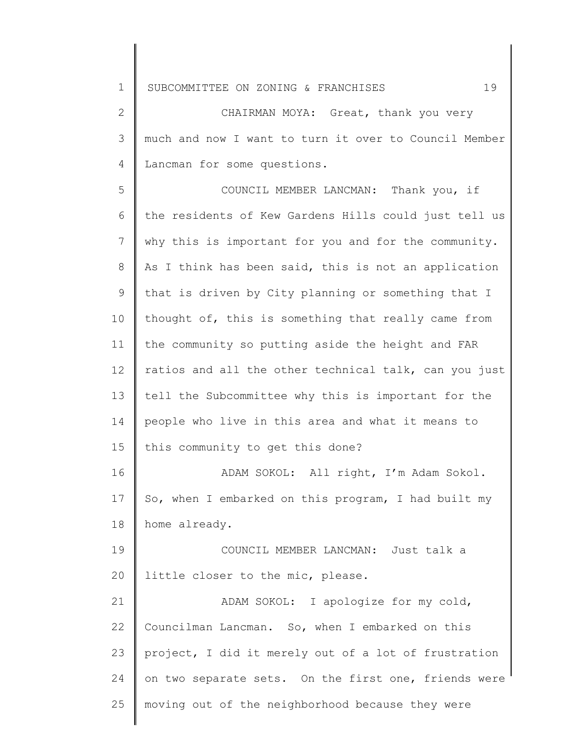2 3 4 CHAIRMAN MOYA: Great, thank you very much and now I want to turn it over to Council Member Lancman for some questions.

5 6 7 8 9 10 11 12 13 14 15 16 17 18 19 20 21 COUNCIL MEMBER LANCMAN: Thank you, if the residents of Kew Gardens Hills could just tell us why this is important for you and for the community. As I think has been said, this is not an application that is driven by City planning or something that I thought of, this is something that really came from the community so putting aside the height and FAR ratios and all the other technical talk, can you just tell the Subcommittee why this is important for the people who live in this area and what it means to this community to get this done? ADAM SOKOL: All right, I'm Adam Sokol. So, when I embarked on this program, I had built my home already. COUNCIL MEMBER LANCMAN: Just talk a little closer to the mic, please. ADAM SOKOL: I apologize for my cold,

22 23 24 25 Councilman Lancman. So, when I embarked on this project, I did it merely out of a lot of frustration on two separate sets. On the first one, friends were moving out of the neighborhood because they were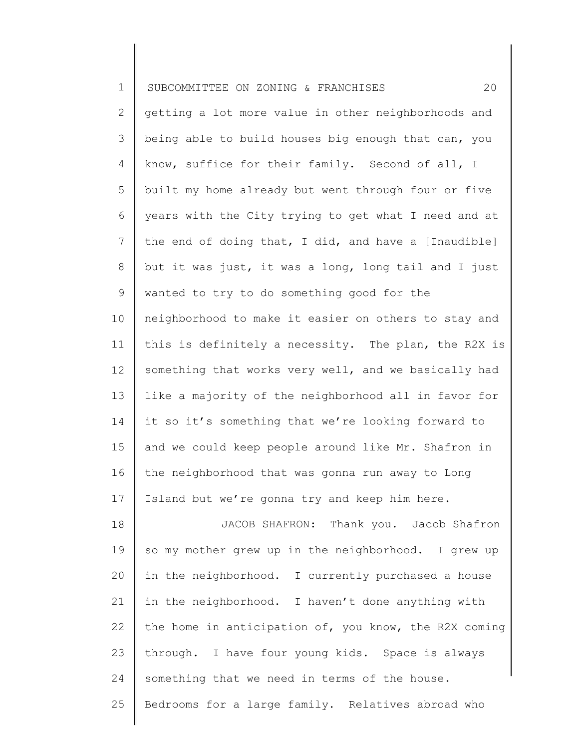| $\mathbf 1$    | 20<br>SUBCOMMITTEE ON ZONING & FRANCHISES             |
|----------------|-------------------------------------------------------|
| $\mathbf{2}$   | getting a lot more value in other neighborhoods and   |
| 3              | being able to build houses big enough that can, you   |
| 4              | know, suffice for their family. Second of all, I      |
| 5              | built my home already but went through four or five   |
| 6              | years with the City trying to get what I need and at  |
| $\overline{7}$ | the end of doing that, I did, and have a [Inaudible]  |
| $8\,$          | but it was just, it was a long, long tail and I just  |
| $\mathsf 9$    | wanted to try to do something good for the            |
| 10             | neighborhood to make it easier on others to stay and  |
| 11             | this is definitely a necessity. The plan, the R2X is  |
| 12             | something that works very well, and we basically had  |
| 13             | like a majority of the neighborhood all in favor for  |
| 14             | it so it's something that we're looking forward to    |
| 15             | and we could keep people around like Mr. Shafron in   |
| 16             | the neighborhood that was gonna run away to Long      |
| 17             | Island but we're gonna try and keep him here.         |
| 18             | JACOB SHAFRON: Thank you. Jacob Shafron               |
| 19             | so my mother grew up in the neighborhood. I grew up   |
| 20             | in the neighborhood. I currently purchased a house    |
| 21             | in the neighborhood. I haven't done anything with     |
| 22             | the home in anticipation of, you know, the R2X coming |
| 23             | through. I have four young kids. Space is always      |
| 24             | something that we need in terms of the house.         |
| 25             | Bedrooms for a large family. Relatives abroad who     |
|                |                                                       |

║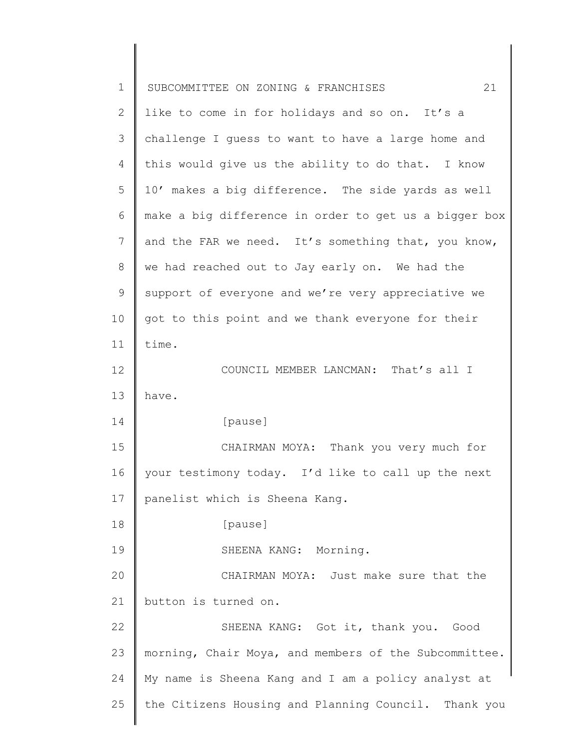| $\mathbf 1$ | 21<br>SUBCOMMITTEE ON ZONING & FRANCHISES             |
|-------------|-------------------------------------------------------|
| 2           | like to come in for holidays and so on. It's a        |
| 3           | challenge I guess to want to have a large home and    |
| 4           | this would give us the ability to do that. I know     |
| 5           | 10' makes a big difference. The side yards as well    |
| 6           | make a big difference in order to get us a bigger box |
| 7           | and the FAR we need. It's something that, you know,   |
| 8           | we had reached out to Jay early on. We had the        |
| $\mathsf 9$ | support of everyone and we're very appreciative we    |
| 10          | got to this point and we thank everyone for their     |
| 11          | time.                                                 |
| 12          | COUNCIL MEMBER LANCMAN: That's all I                  |
| 13          | have.                                                 |
| 14          | [pause]                                               |
| 15          | CHAIRMAN MOYA: Thank you very much for                |
| 16          | your testimony today. I'd like to call up the next    |
| 17          | panelist which is Sheena Kang.                        |
| 18          | [pause]                                               |
| 19          | SHEENA KANG: Morning.                                 |
| 20          | CHAIRMAN MOYA: Just make sure that the                |
| 21          | button is turned on.                                  |
| 22          | SHEENA KANG: Got it, thank you. Good                  |
| 23          | morning, Chair Moya, and members of the Subcommittee. |
| 24          | My name is Sheena Kang and I am a policy analyst at   |
| 25          | the Citizens Housing and Planning Council. Thank you  |
|             |                                                       |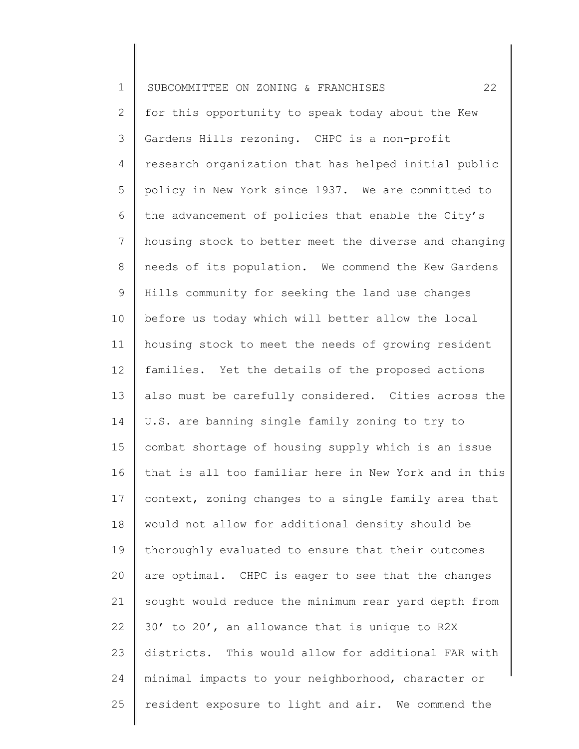| $\mathbf 1$     | 22<br>SUBCOMMITTEE ON ZONING & FRANCHISES             |
|-----------------|-------------------------------------------------------|
| $\mathbf{2}$    | for this opportunity to speak today about the Kew     |
| 3               | Gardens Hills rezoning. CHPC is a non-profit          |
| 4               | research organization that has helped initial public  |
| 5               | policy in New York since 1937. We are committed to    |
| 6               | the advancement of policies that enable the City's    |
| $7\phantom{.0}$ | housing stock to better meet the diverse and changing |
| 8               | needs of its population. We commend the Kew Gardens   |
| $\mathsf 9$     | Hills community for seeking the land use changes      |
| 10              | before us today which will better allow the local     |
| 11              | housing stock to meet the needs of growing resident   |
| 12              | families. Yet the details of the proposed actions     |
| 13              | also must be carefully considered. Cities across the  |
| 14              | U.S. are banning single family zoning to try to       |
| 15              | combat shortage of housing supply which is an issue   |
| 16              | that is all too familiar here in New York and in this |
| 17              | context, zoning changes to a single family area that  |
| 18              | would not allow for additional density should be      |
| 19              | thoroughly evaluated to ensure that their outcomes    |
| 20              | are optimal. CHPC is eager to see that the changes    |
| 21              | sought would reduce the minimum rear yard depth from  |
| 22              | 30' to 20', an allowance that is unique to R2X        |
| 23              | districts. This would allow for additional FAR with   |
| 24              | minimal impacts to your neighborhood, character or    |
| 25              | resident exposure to light and air. We commend the    |
|                 |                                                       |

║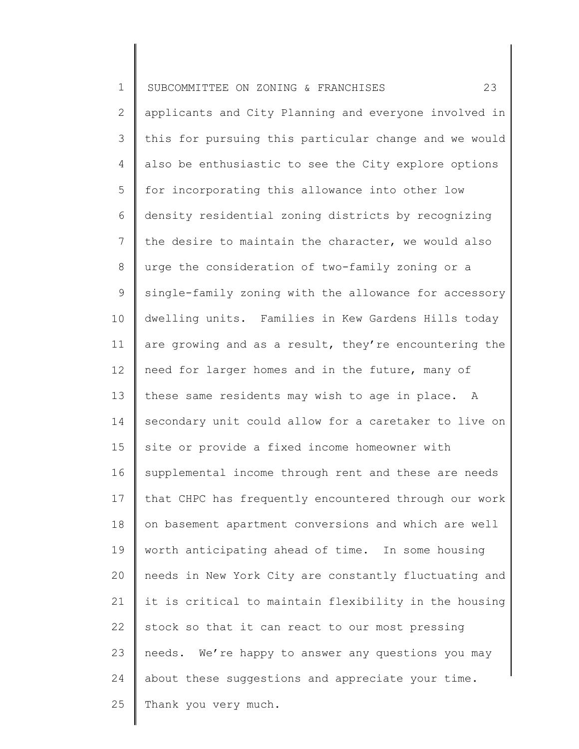| $\mathbf 1$     | 23<br>SUBCOMMITTEE ON ZONING & FRANCHISES             |
|-----------------|-------------------------------------------------------|
| $\overline{2}$  | applicants and City Planning and everyone involved in |
| 3               | this for pursuing this particular change and we would |
| 4               | also be enthusiastic to see the City explore options  |
| 5               | for incorporating this allowance into other low       |
| 6               | density residential zoning districts by recognizing   |
| $7\phantom{.0}$ | the desire to maintain the character, we would also   |
| $8\,$           | urge the consideration of two-family zoning or a      |
| $\mathsf 9$     | single-family zoning with the allowance for accessory |
| 10              | dwelling units. Families in Kew Gardens Hills today   |
| 11              | are growing and as a result, they're encountering the |
| 12              | need for larger homes and in the future, many of      |
| 13              | these same residents may wish to age in place. A      |
| 14              | secondary unit could allow for a caretaker to live on |
| 15              | site or provide a fixed income homeowner with         |
| 16              | supplemental income through rent and these are needs  |
| 17              | that CHPC has frequently encountered through our work |
| 18              | on basement apartment conversions and which are well  |
| 19              | worth anticipating ahead of time. In some housing     |
| 20              | needs in New York City are constantly fluctuating and |
| 21              | it is critical to maintain flexibility in the housing |
| 22              | stock so that it can react to our most pressing       |
| 23              | needs. We're happy to answer any questions you may    |
| 24              | about these suggestions and appreciate your time.     |
| 25              | Thank you very much.                                  |
|                 |                                                       |

∥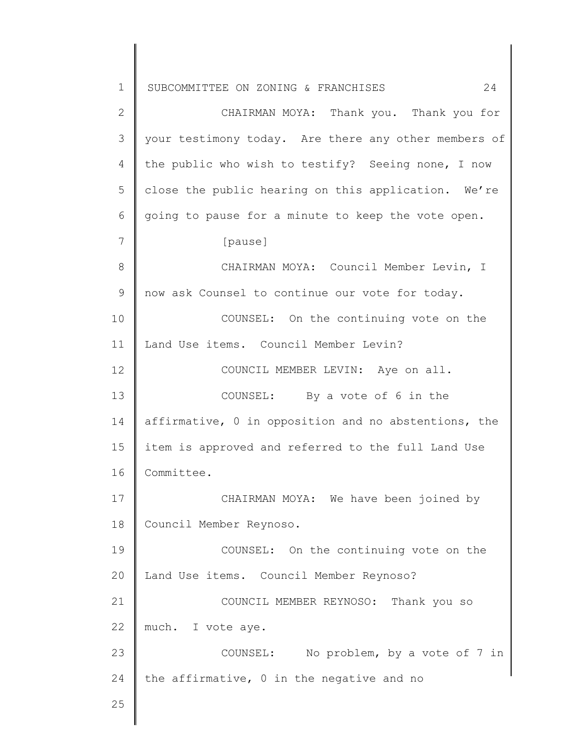1 2 3 4 5 6 7 8 9 10 11 12 13 14 15 16 17 18 19 20 21 22 23 24 25 SUBCOMMITTEE ON ZONING & FRANCHISES 24 CHAIRMAN MOYA: Thank you. Thank you for your testimony today. Are there any other members of the public who wish to testify? Seeing none, I now close the public hearing on this application. We're going to pause for a minute to keep the vote open. [pause] CHAIRMAN MOYA: Council Member Levin, I now ask Counsel to continue our vote for today. COUNSEL: On the continuing vote on the Land Use items. Council Member Levin? COUNCIL MEMBER LEVIN: Aye on all. COUNSEL: By a vote of 6 in the affirmative, 0 in opposition and no abstentions, the item is approved and referred to the full Land Use Committee. CHAIRMAN MOYA: We have been joined by Council Member Reynoso. COUNSEL: On the continuing vote on the Land Use items. Council Member Reynoso? COUNCIL MEMBER REYNOSO: Thank you so much. I vote aye. COUNSEL: No problem, by a vote of 7 in the affirmative, 0 in the negative and no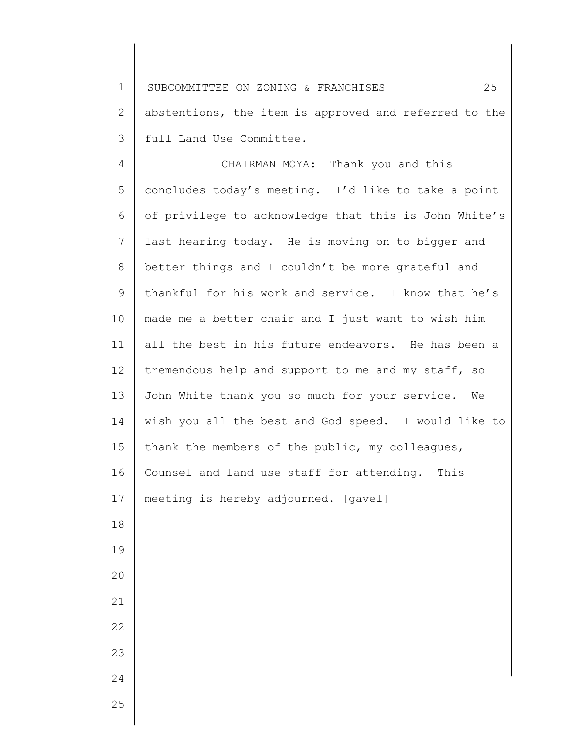1 2 3 SUBCOMMITTEE ON ZONING & FRANCHISES 25 abstentions, the item is approved and referred to the full Land Use Committee.

4 5 6 7 8 9 10 11 12 13 14 15 16 17 18 19 20 21 22 23 24 CHAIRMAN MOYA: Thank you and this concludes today's meeting. I'd like to take a point of privilege to acknowledge that this is John White's last hearing today. He is moving on to bigger and better things and I couldn't be more grateful and thankful for his work and service. I know that he's made me a better chair and I just want to wish him all the best in his future endeavors. He has been a tremendous help and support to me and my staff, so John White thank you so much for your service. We wish you all the best and God speed. I would like to thank the members of the public, my colleagues, Counsel and land use staff for attending. This meeting is hereby adjourned. [gavel]